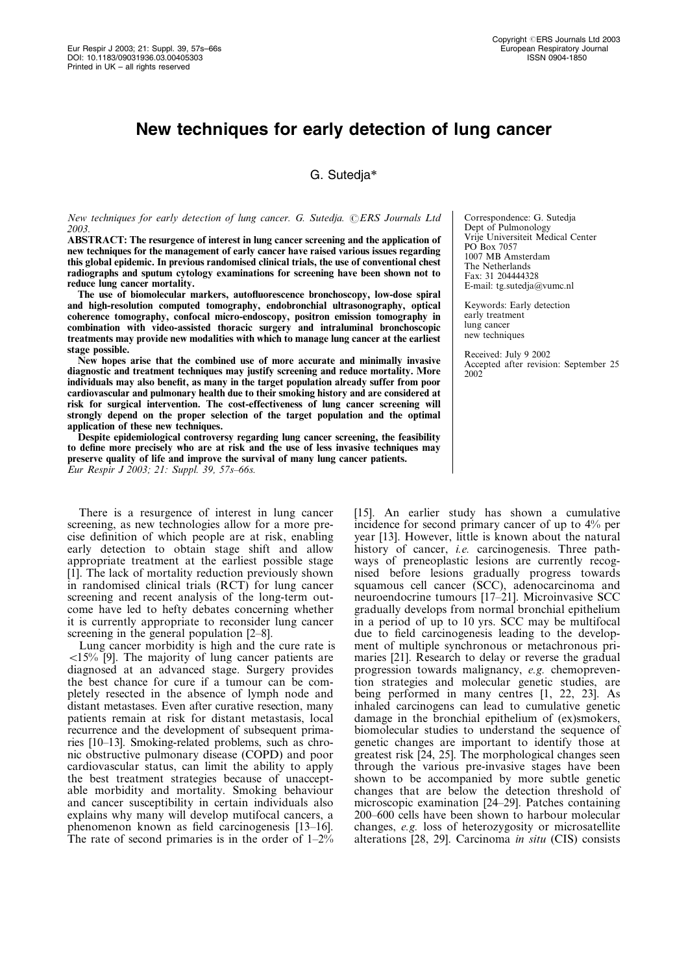# New techniques for early detection of lung cancer

# G. Sutedja\*

New techniques for early detection of lung cancer. G. Sutedja. ERS Journals Ltd 2003.

ABSTRACT: The resurgence of interest in lung cancer screening and the application of new techniques for the management of early cancer have raised various issues regarding this global epidemic. In previous randomised clinical trials, the use of conventional chest radiographs and sputum cytology examinations for screening have been shown not to reduce lung cancer mortality.

The use of biomolecular markers, autofluorescence bronchoscopy, low-dose spiral and high-resolution computed tomography, endobronchial ultrasonography, optical coherence tomography, confocal micro-endoscopy, positron emission tomography in combination with video-assisted thoracic surgery and intraluminal bronchoscopic treatments may provide new modalities with which to manage lung cancer at the earliest stage possible.

New hopes arise that the combined use of more accurate and minimally invasive diagnostic and treatment techniques may justify screening and reduce mortality. More individuals may also benefit, as many in the target population already suffer from poor cardiovascular and pulmonary health due to their smoking history and are considered at risk for surgical intervention. The cost-effectiveness of lung cancer screening will strongly depend on the proper selection of the target population and the optimal application of these new techniques.

Despite epidemiological controversy regarding lung cancer screening, the feasibility to define more precisely who are at risk and the use of less invasive techniques may preserve quality of life and improve the survival of many lung cancer patients. Eur Respir J 2003; 21: Suppl. 39, 57s–66s.

There is a resurgence of interest in lung cancer screening, as new technologies allow for a more precise definition of which people are at risk, enabling early detection to obtain stage shift and allow appropriate treatment at the earliest possible stage [1]. The lack of mortality reduction previously shown in randomised clinical trials (RCT) for lung cancer screening and recent analysis of the long-term outcome have led to hefty debates concerning whether it is currently appropriate to reconsider lung cancer screening in the general population [2–8].

Lung cancer morbidity is high and the cure rate is  $\langle 15\%$  [9]. The majority of lung cancer patients are diagnosed at an advanced stage. Surgery provides the best chance for cure if a tumour can be completely resected in the absence of lymph node and distant metastases. Even after curative resection, many patients remain at risk for distant metastasis, local recurrence and the development of subsequent primaries [10–13]. Smoking-related problems, such as chronic obstructive pulmonary disease (COPD) and poor cardiovascular status, can limit the ability to apply the best treatment strategies because of unacceptable morbidity and mortality. Smoking behaviour and cancer susceptibility in certain individuals also explains why many will develop mutifocal cancers, a phenomenon known as field carcinogenesis [13–16]. The rate of second primaries is in the order of  $1-2\%$  Correspondence: G. Sutedja Dept of Pulmonology Vrije Universiteit Medical Center PO Box 7057 1007 MB Amsterdam The Netherlands Fax: 31 204444328 E-mail: tg.sutedja@vumc.nl

Keywords: Early detection early treatment lung cancer new techniques

Received: July 9 2002 Accepted after revision: September 25 2002

[15]. An earlier study has shown a cumulative incidence for second primary cancer of up to 4% per year [13]. However, little is known about the natural history of cancer, *i.e.* carcinogenesis. Three pathways of preneoplastic lesions are currently recognised before lesions gradually progress towards squamous cell cancer (SCC), adenocarcinoma and neuroendocrine tumours [17–21]. Microinvasive SCC gradually develops from normal bronchial epithelium in a period of up to 10 yrs. SCC may be multifocal due to field carcinogenesis leading to the development of multiple synchronous or metachronous primaries [21]. Research to delay or reverse the gradual progression towards malignancy, e.g. chemoprevention strategies and molecular genetic studies, are being performed in many centres [1, 22, 23]. As inhaled carcinogens can lead to cumulative genetic damage in the bronchial epithelium of (ex)smokers, biomolecular studies to understand the sequence of genetic changes are important to identify those at greatest risk [24, 25]. The morphological changes seen through the various pre-invasive stages have been shown to be accompanied by more subtle genetic changes that are below the detection threshold of microscopic examination [24–29]. Patches containing 200–600 cells have been shown to harbour molecular changes, e.g. loss of heterozygosity or microsatellite alterations [28, 29]. Carcinoma in situ (CIS) consists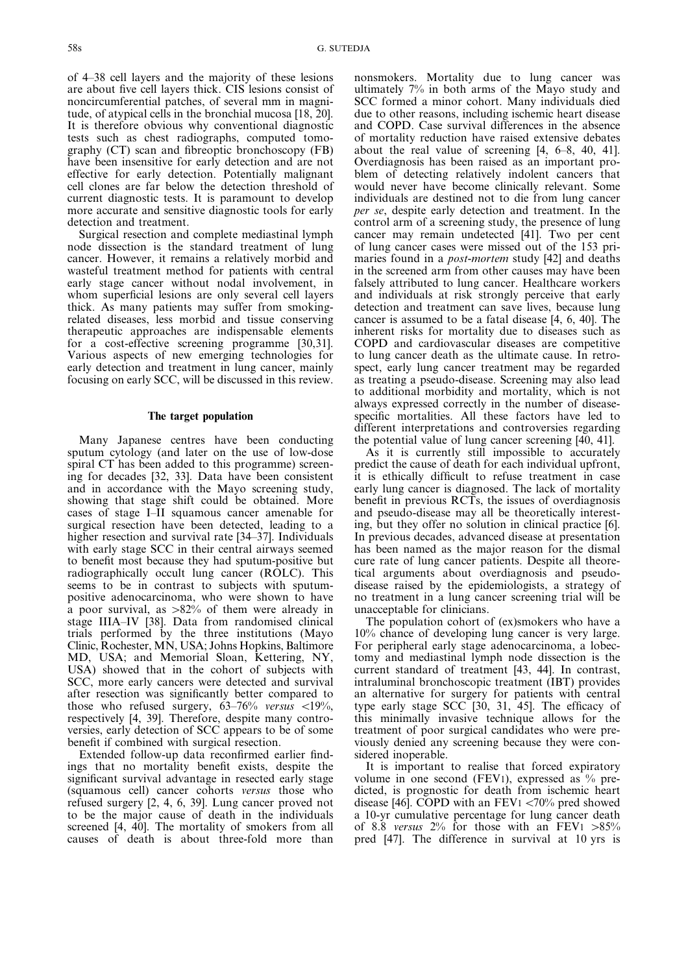of 4–38 cell layers and the majority of these lesions are about five cell layers thick. CIS lesions consist of noncircumferential patches, of several mm in magnitude, of atypical cells in the bronchial mucosa [18, 20]. It is therefore obvious why conventional diagnostic tests such as chest radiographs, computed tomography (CT) scan and fibreoptic bronchoscopy (FB) have been insensitive for early detection and are not effective for early detection. Potentially malignant cell clones are far below the detection threshold of current diagnostic tests. It is paramount to develop more accurate and sensitive diagnostic tools for early detection and treatment.

Surgical resection and complete mediastinal lymph node dissection is the standard treatment of lung cancer. However, it remains a relatively morbid and wasteful treatment method for patients with central early stage cancer without nodal involvement, in whom superficial lesions are only several cell layers thick. As many patients may suffer from smokingrelated diseases, less morbid and tissue conserving therapeutic approaches are indispensable elements for a cost-effective screening programme [30,31]. Various aspects of new emerging technologies for early detection and treatment in lung cancer, mainly focusing on early SCC, will be discussed in this review.

#### The target population

Many Japanese centres have been conducting sputum cytology (and later on the use of low-dose spiral CT has been added to this programme) screening for decades [32, 33]. Data have been consistent and in accordance with the Mayo screening study, showing that stage shift could be obtained. More cases of stage I–II squamous cancer amenable for surgical resection have been detected, leading to a higher resection and survival rate [34–37]. Individuals with early stage SCC in their central airways seemed to benefit most because they had sputum-positive but radiographically occult lung cancer (ROLC). This seems to be in contrast to subjects with sputumpositive adenocarcinoma, who were shown to have a poor survival, as  $>82\%$  of them were already in stage IIIA–IV [38]. Data from randomised clinical trials performed by the three institutions (Mayo Clinic, Rochester, MN, USA; Johns Hopkins, Baltimore MD, USA; and Memorial Sloan, Kettering, NY, USA) showed that in the cohort of subjects with SCC, more early cancers were detected and survival after resection was significantly better compared to those who refused surgery,  $63-76%$  versus <19%, respectively [4, 39]. Therefore, despite many controversies, early detection of SCC appears to be of some benefit if combined with surgical resection.

Extended follow-up data reconfirmed earlier findings that no mortality benefit exists, despite the significant survival advantage in resected early stage (squamous cell) cancer cohorts versus those who refused surgery [2, 4, 6, 39]. Lung cancer proved not to be the major cause of death in the individuals screened [4, 40]. The mortality of smokers from all causes of death is about three-fold more than

nonsmokers. Mortality due to lung cancer was ultimately 7% in both arms of the Mayo study and SCC formed a minor cohort. Many individuals died due to other reasons, including ischemic heart disease and COPD. Case survival differences in the absence of mortality reduction have raised extensive debates about the real value of screening [4, 6–8, 40, 41]. Overdiagnosis has been raised as an important problem of detecting relatively indolent cancers that would never have become clinically relevant. Some individuals are destined not to die from lung cancer per se, despite early detection and treatment. In the control arm of a screening study, the presence of lung cancer may remain undetected [41]. Two per cent of lung cancer cases were missed out of the 153 primaries found in a post-mortem study [42] and deaths in the screened arm from other causes may have been falsely attributed to lung cancer. Healthcare workers and individuals at risk strongly perceive that early detection and treatment can save lives, because lung cancer is assumed to be a fatal disease [4, 6, 40]. The inherent risks for mortality due to diseases such as COPD and cardiovascular diseases are competitive to lung cancer death as the ultimate cause. In retrospect, early lung cancer treatment may be regarded as treating a pseudo-disease. Screening may also lead to additional morbidity and mortality, which is not always expressed correctly in the number of diseasespecific mortalities. All these factors have led to different interpretations and controversies regarding the potential value of lung cancer screening [40, 41].

As it is currently still impossible to accurately predict the cause of death for each individual upfront, it is ethically difficult to refuse treatment in case early lung cancer is diagnosed. The lack of mortality benefit in previous RCTs, the issues of overdiagnosis and pseudo-disease may all be theoretically interesting, but they offer no solution in clinical practice [6]. In previous decades, advanced disease at presentation has been named as the major reason for the dismal cure rate of lung cancer patients. Despite all theoretical arguments about overdiagnosis and pseudodisease raised by the epidemiologists, a strategy of no treatment in a lung cancer screening trial will be unacceptable for clinicians.

The population cohort of (ex)smokers who have a 10% chance of developing lung cancer is very large. For peripheral early stage adenocarcinoma, a lobectomy and mediastinal lymph node dissection is the current standard of treatment [43, 44]. In contrast, intraluminal bronchoscopic treatment (IBT) provides an alternative for surgery for patients with central type early stage SCC [30, 31, 45]. The efficacy of this minimally invasive technique allows for the treatment of poor surgical candidates who were previously denied any screening because they were considered inoperable.

It is important to realise that forced expiratory volume in one second (FEV1), expressed as % predicted, is prognostic for death from ischemic heart disease [46]. COPD with an FEV1  $\langle 70\%$  pred showed a 10-yr cumulative percentage for lung cancer death of 8.8 versus  $2\%$  for those with an FEV1  $>85\%$ pred [47]. The difference in survival at 10 yrs is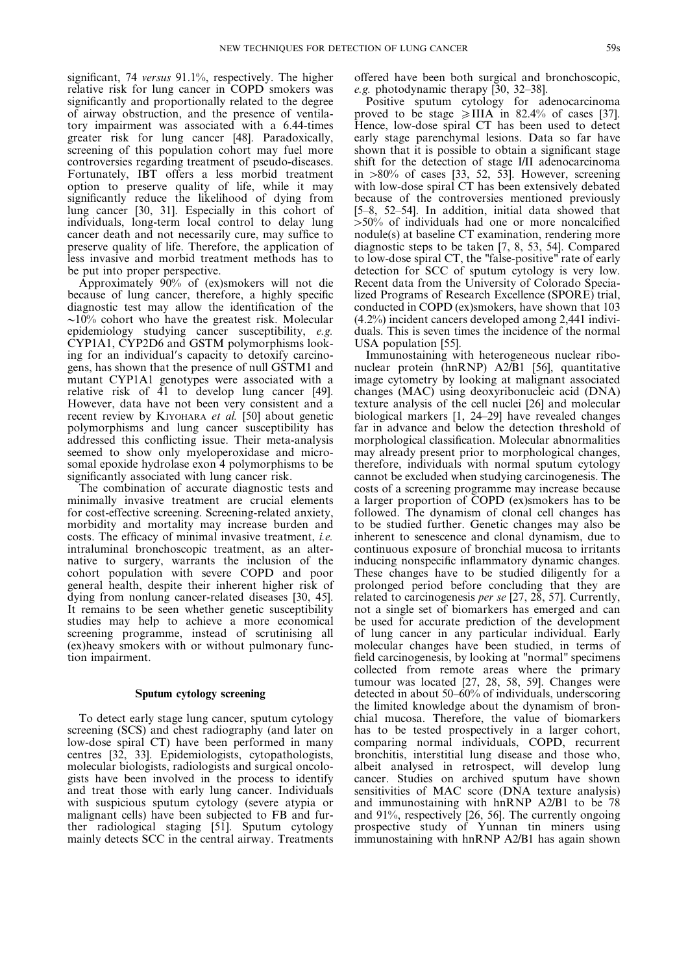significant, 74 versus 91.1%, respectively. The higher relative risk for lung cancer in COPD smokers was significantly and proportionally related to the degree of airway obstruction, and the presence of ventilatory impairment was associated with a 6.44-times greater risk for lung cancer [48]. Paradoxically, screening of this population cohort may fuel more controversies regarding treatment of pseudo-diseases. Fortunately, IBT offers a less morbid treatment option to preserve quality of life, while it may significantly reduce the likelihood of dying from lung cancer [30, 31]. Especially in this cohort of individuals, long-term local control to delay lung cancer death and not necessarily cure, may suffice to preserve quality of life. Therefore, the application of less invasive and morbid treatment methods has to be put into proper perspective.

Approximately 90% of (ex)smokers will not die because of lung cancer, therefore, a highly specific diagnostic test may allow the identification of the  $\sim$ 10% cohort who have the greatest risk. Molecular epidemiology studying cancer susceptibility, e.g. CYP1A1, CYP2D6 and GSTM polymorphisms looking for an individual's capacity to detoxify carcinogens, has shown that the presence of null GSTM1 and mutant CYP1A1 genotypes were associated with a relative risk of 41 to develop lung cancer [49]. However, data have not been very consistent and a recent review by KIYOHARA et al. [50] about genetic polymorphisms and lung cancer susceptibility has addressed this conflicting issue. Their meta-analysis seemed to show only myeloperoxidase and microsomal epoxide hydrolase exon 4 polymorphisms to be significantly associated with lung cancer risk.

The combination of accurate diagnostic tests and minimally invasive treatment are crucial elements for cost-effective screening. Screening-related anxiety, morbidity and mortality may increase burden and costs. The efficacy of minimal invasive treatment, i.e. intraluminal bronchoscopic treatment, as an alternative to surgery, warrants the inclusion of the cohort population with severe COPD and poor general health, despite their inherent higher risk of dying from nonlung cancer-related diseases [30, 45]. It remains to be seen whether genetic susceptibility studies may help to achieve a more economical screening programme, instead of scrutinising all (ex)heavy smokers with or without pulmonary function impairment.

# Sputum cytology screening

To detect early stage lung cancer, sputum cytology screening (SCS) and chest radiography (and later on low-dose spiral CT) have been performed in many centres [32, 33]. Epidemiologists, cytopathologists, molecular biologists, radiologists and surgical oncologists have been involved in the process to identify and treat those with early lung cancer. Individuals with suspicious sputum cytology (severe atypia or malignant cells) have been subjected to FB and further radiological staging [51]. Sputum cytology mainly detects SCC in the central airway. Treatments offered have been both surgical and bronchoscopic, e.g. photodynamic therapy [30, 32–38].

Positive sputum cytology for adenocarcinoma proved to be stage  $\geq$ IIIA in 82.4% of cases [37]. Hence, low-dose spiral CT has been used to detect early stage parenchymal lesions. Data so far have shown that it is possible to obtain a significant stage shift for the detection of stage I/II adenocarcinoma in  $>80\%$  of cases [33, 52, 53]. However, screening with low-dose spiral CT has been extensively debated because of the controversies mentioned previously [5–8, 52–54]. In addition, initial data showed that  $>50\%$  of individuals had one or more noncalcified nodule(s) at baseline CT examination, rendering more diagnostic steps to be taken [7, 8, 53, 54]. Compared to low-dose spiral CT, the "false-positive" rate of early detection for SCC of sputum cytology is very low. Recent data from the University of Colorado Specialized Programs of Research Excellence (SPORE) trial, conducted in COPD (ex)smokers, have shown that 103 (4.2%) incident cancers developed among 2,441 individuals. This is seven times the incidence of the normal USA population [55].

Immunostaining with heterogeneous nuclear ribonuclear protein (hnRNP) A2/B1 [56], quantitative image cytometry by looking at malignant associated changes (MAC) using deoxyribonucleic acid (DNA) texture analysis of the cell nuclei [26] and molecular biological markers [1, 24–29] have revealed changes far in advance and below the detection threshold of morphological classification. Molecular abnormalities may already present prior to morphological changes, therefore, individuals with normal sputum cytology cannot be excluded when studying carcinogenesis. The costs of a screening programme may increase because a larger proportion of COPD (ex)smokers has to be followed. The dynamism of clonal cell changes has to be studied further. Genetic changes may also be inherent to senescence and clonal dynamism, due to continuous exposure of bronchial mucosa to irritants inducing nonspecific inflammatory dynamic changes. These changes have to be studied diligently for a prolonged period before concluding that they are related to carcinogenesis per se [27, 28, 57]. Currently, not a single set of biomarkers has emerged and can be used for accurate prediction of the development of lung cancer in any particular individual. Early molecular changes have been studied, in terms of field carcinogenesis, by looking at "normal" specimens collected from remote areas where the primary tumour was located [27, 28, 58, 59]. Changes were detected in about 50–60% of individuals, underscoring the limited knowledge about the dynamism of bronchial mucosa. Therefore, the value of biomarkers has to be tested prospectively in a larger cohort, comparing normal individuals, COPD, recurrent bronchitis, interstitial lung disease and those who, albeit analysed in retrospect, will develop lung cancer. Studies on archived sputum have shown sensitivities of MAC score (DNA texture analysis) and immunostaining with hnRNP A2/B1 to be 78 and 91%, respectively [26, 56]. The currently ongoing prospective study of Yunnan tin miners using immunostaining with hnRNP A2/B1 has again shown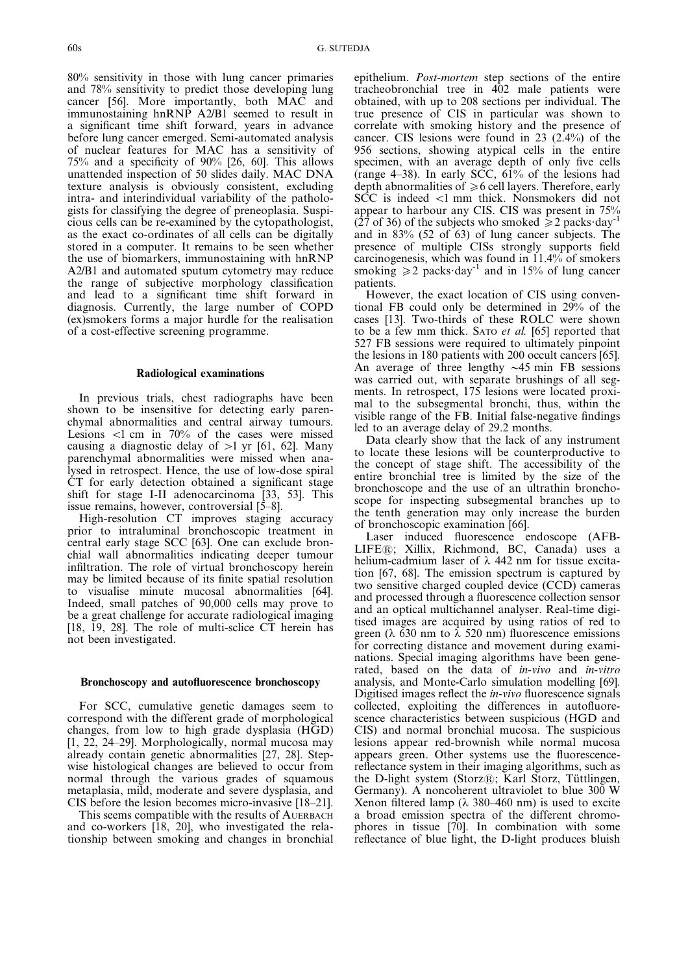80% sensitivity in those with lung cancer primaries and 78% sensitivity to predict those developing lung cancer [56]. More importantly, both MAC and immunostaining hnRNP A2/B1 seemed to result in a significant time shift forward, years in advance before lung cancer emerged. Semi-automated analysis of nuclear features for MAC has a sensitivity of 75% and a specificity of 90% [26, 60]. This allows unattended inspection of 50 slides daily. MAC DNA texture analysis is obviously consistent, excluding intra- and interindividual variability of the pathologists for classifying the degree of preneoplasia. Suspicious cells can be re-examined by the cytopathologist, as the exact co-ordinates of all cells can be digitally stored in a computer. It remains to be seen whether the use of biomarkers, immunostaining with hnRNP A2/B1 and automated sputum cytometry may reduce the range of subjective morphology classification and lead to a significant time shift forward in diagnosis. Currently, the large number of COPD (ex)smokers forms a major hurdle for the realisation of a cost-effective screening programme.

# Radiological examinations

In previous trials, chest radiographs have been shown to be insensitive for detecting early parenchymal abnormalities and central airway tumours. Lesions  $\lt 1$  cm in 70% of the cases were missed causing a diagnostic delay of  $>1$  yr [61, 62]. Many parenchymal abnormalities were missed when analysed in retrospect. Hence, the use of low-dose spiral CT for early detection obtained a significant stage shift for stage I-II adenocarcinoma [33, 53]. This issue remains, however, controversial [5–8].

High-resolution CT improves staging accuracy prior to intraluminal bronchoscopic treatment in central early stage SCC [63]. One can exclude bronchial wall abnormalities indicating deeper tumour infiltration. The role of virtual bronchoscopy herein may be limited because of its finite spatial resolution to visualise minute mucosal abnormalities [64]. Indeed, small patches of 90,000 cells may prove to be a great challenge for accurate radiological imaging [18, 19, 28]. The role of multi-sclice CT herein has not been investigated.

#### Bronchoscopy and autofluorescence bronchoscopy

For SCC, cumulative genetic damages seem to correspond with the different grade of morphological changes, from low to high grade dysplasia (HGD) [1, 22, 24–29]. Morphologically, normal mucosa may already contain genetic abnormalities [27, 28]. Stepwise histological changes are believed to occur from normal through the various grades of squamous metaplasia, mild, moderate and severe dysplasia, and CIS before the lesion becomes micro-invasive [18–21].

This seems compatible with the results of AUERBACH and co-workers [18, 20], who investigated the relationship between smoking and changes in bronchial epithelium. Post-mortem step sections of the entire tracheobronchial tree in 402 male patients were obtained, with up to 208 sections per individual. The true presence of CIS in particular was shown to correlate with smoking history and the presence of cancer. CIS lesions were found in 23 (2.4%) of the 956 sections, showing atypical cells in the entire specimen, with an average depth of only five cells (range 4–38). In early SCC, 61% of the lesions had depth abnormalities of  $\geq 6$  cell layers. Therefore, early  $S\tilde{C}C$  is indeed  $\langle 1 \text{ mm}$  thick. Nonsmokers did not appear to harbour any CIS. CIS was present in 75% (27 of 36) of the subjects who smoked  $\geq 2$  packs day<sup>-1</sup> and in 83% (52 of 63) of lung cancer subjects. The presence of multiple CISs strongly supports field carcinogenesis, which was found in 11.4% of smokers smoking  $\geq 2$  packs day<sup>-1</sup> and in 15% of lung cancer patients.

However, the exact location of CIS using conventional FB could only be determined in 29% of the cases [13]. Two-thirds of these ROLC were shown to be a few mm thick. SATO et al. [65] reported that 527 FB sessions were required to ultimately pinpoint the lesions in 180 patients with 200 occult cancers [65]. An average of three lengthy  $\sim$ 45 min FB sessions was carried out, with separate brushings of all segments. In retrospect, 175 lesions were located proximal to the subsegmental bronchi, thus, within the visible range of the FB. Initial false-negative findings led to an average delay of 29.2 months.

Data clearly show that the lack of any instrument to locate these lesions will be counterproductive to the concept of stage shift. The accessibility of the entire bronchial tree is limited by the size of the bronchoscope and the use of an ultrathin bronchoscope for inspecting subsegmental branches up to the tenth generation may only increase the burden of bronchoscopic examination [66].

Laser induced fluorescence endoscope (AFB-LIFE1; Xillix, Richmond, BC, Canada) uses a helium-cadmium laser of  $\lambda$  442 nm for tissue excitation [67, 68]. The emission spectrum is captured by two sensitive charged coupled device (CCD) cameras and processed through a fluorescence collection sensor and an optical multichannel analyser. Real-time digitised images are acquired by using ratios of red to green ( $\lambda$  630 nm to  $\lambda$  520 nm) fluorescence emissions for correcting distance and movement during examinations. Special imaging algorithms have been generated, based on the data of in-vivo and in-vitro analysis, and Monte-Carlo simulation modelling [69]. Digitised images reflect the in-vivo fluorescence signals collected, exploiting the differences in autofluorescence characteristics between suspicious (HGD and CIS) and normal bronchial mucosa. The suspicious lesions appear red-brownish while normal mucosa appears green. Other systems use the fluorescencereflectance system in their imaging algorithms, such as the D-light system (Storz®; Karl Storz, Tüttlingen, Germany). A noncoherent ultraviolet to blue 300 W Xenon filtered lamp ( $\lambda$  380–460 nm) is used to excite a broad emission spectra of the different chromophores in tissue [70]. In combination with some reflectance of blue light, the D-light produces bluish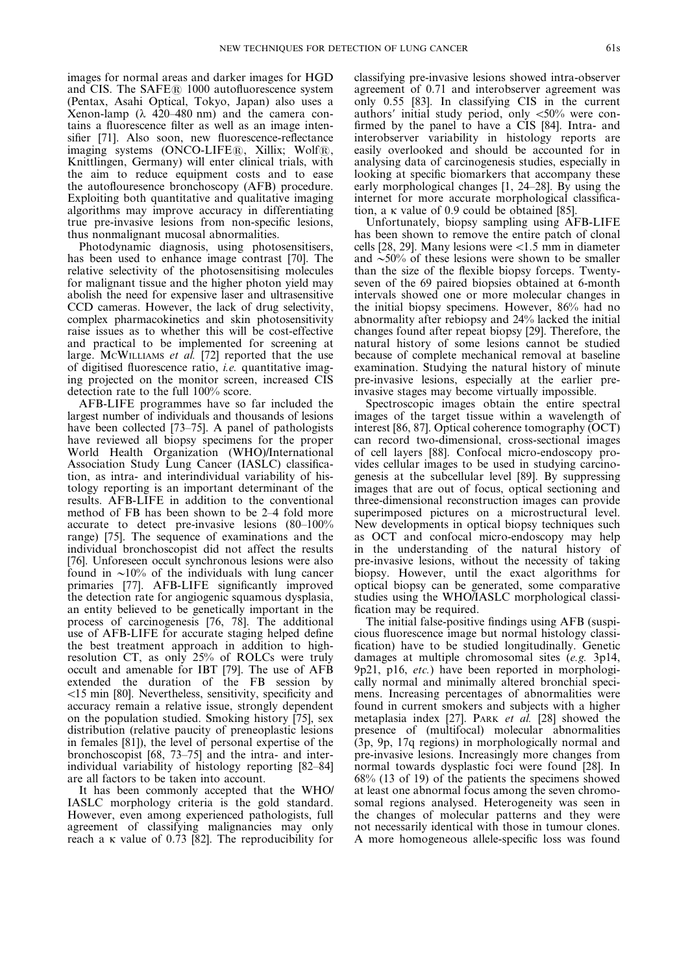images for normal areas and darker images for HGD and CIS. The  $SAFE@$  1000 autofluorescence system (Pentax, Asahi Optical, Tokyo, Japan) also uses a Xenon-lamp ( $\lambda$  420–480 nm) and the camera contains a fluorescence filter as well as an image intensifier [71]. Also soon, new fluorescence-reflectance imaging systems  $(ONCO-LIFER, Xillix; WolfR)$ , Knittlingen, Germany) will enter clinical trials, with the aim to reduce equipment costs and to ease the autoflouresence bronchoscopy (AFB) procedure. Exploiting both quantitative and qualitative imaging algorithms may improve accuracy in differentiating true pre-invasive lesions from non-specific lesions, thus nonmalignant mucosal abnormalities.

Photodynamic diagnosis, using photosensitisers, has been used to enhance image contrast [70]. The relative selectivity of the photosensitising molecules for malignant tissue and the higher photon yield may abolish the need for expensive laser and ultrasensitive CCD cameras. However, the lack of drug selectivity, complex pharmacokinetics and skin photosensitivity raise issues as to whether this will be cost-effective and practical to be implemented for screening at large. McWILLIAMS et al. [72] reported that the use of digitised fluorescence ratio, i.e. quantitative imaging projected on the monitor screen, increased CIS detection rate to the full 100% score.

AFB-LIFE programmes have so far included the largest number of individuals and thousands of lesions have been collected [73–75]. A panel of pathologists have reviewed all biopsy specimens for the proper World Health Organization (WHO)/International Association Study Lung Cancer (IASLC) classification, as intra- and interindividual variability of histology reporting is an important determinant of the results. AFB-LIFE in addition to the conventional method of FB has been shown to be 2–4 fold more accurate to detect pre-invasive lesions (80–100% range) [75]. The sequence of examinations and the individual bronchoscopist did not affect the results [76]. Unforeseen occult synchronous lesions were also found in  $\sim$ 10% of the individuals with lung cancer primaries [77]. AFB-LIFE significantly improved the detection rate for angiogenic squamous dysplasia, an entity believed to be genetically important in the process of carcinogenesis [76, 78]. The additional use of AFB-LIFE for accurate staging helped define the best treatment approach in addition to highresolution CT, as only 25% of ROLCs were truly occult and amenable for IBT [79]. The use of AFB extended the duration of the FB session by v15 min [80]. Nevertheless, sensitivity, specificity and accuracy remain a relative issue, strongly dependent on the population studied. Smoking history [75], sex distribution (relative paucity of preneoplastic lesions in females [81]), the level of personal expertise of the bronchoscopist [68, 73–75] and the intra- and interindividual variability of histology reporting [82–84] are all factors to be taken into account.

It has been commonly accepted that the WHO/ IASLC morphology criteria is the gold standard. However, even among experienced pathologists, full agreement of classifying malignancies may only reach a  $\kappa$  value of 0.73 [82]. The reproducibility for

classifying pre-invasive lesions showed intra-observer agreement of 0.71 and interobserver agreement was only 0.55 [83]. In classifying CIS in the current authors' initial study period, only  $\langle 50\%$  were confirmed by the panel to have a CIS [84]. Intra- and interobserver variability in histology reports are easily overlooked and should be accounted for in analysing data of carcinogenesis studies, especially in looking at specific biomarkers that accompany these early morphological changes [1, 24–28]. By using the internet for more accurate morphological classification, a k value of 0.9 could be obtained [85].

Unfortunately, biopsy sampling using AFB-LIFE has been shown to remove the entire patch of clonal cells [28, 29]. Many lesions were  $<1.5$  mm in diameter and  $\sim$ 50% of these lesions were shown to be smaller than the size of the flexible biopsy forceps. Twentyseven of the 69 paired biopsies obtained at 6-month intervals showed one or more molecular changes in the initial biopsy specimens. However, 86% had no abnormality after rebiopsy and 24% lacked the initial changes found after repeat biopsy [29]. Therefore, the natural history of some lesions cannot be studied because of complete mechanical removal at baseline examination. Studying the natural history of minute pre-invasive lesions, especially at the earlier preinvasive stages may become virtually impossible.

Spectroscopic images obtain the entire spectral images of the target tissue within a wavelength of interest [86, 87]. Optical coherence tomography (OCT) can record two-dimensional, cross-sectional images of cell layers [88]. Confocal micro-endoscopy provides cellular images to be used in studying carcinogenesis at the subcellular level [89]. By suppressing images that are out of focus, optical sectioning and three-dimensional reconstruction images can provide superimposed pictures on a microstructural level. New developments in optical biopsy techniques such as OCT and confocal micro-endoscopy may help in the understanding of the natural history of pre-invasive lesions, without the necessity of taking biopsy. However, until the exact algorithms for optical biopsy can be generated, some comparative studies using the WHO/IASLC morphological classification may be required.

The initial false-positive findings using AFB (suspicious fluorescence image but normal histology classification) have to be studied longitudinally. Genetic damages at multiple chromosomal sites (e.g. 3p14, 9p21, p16, etc.) have been reported in morphologically normal and minimally altered bronchial specimens. Increasing percentages of abnormalities were found in current smokers and subjects with a higher metaplasia index [27]. PARK et al. [28] showed the presence of (multifocal) molecular abnormalities (3p, 9p, 17q regions) in morphologically normal and pre-invasive lesions. Increasingly more changes from normal towards dysplastic foci were found [28]. In 68% (13 of 19) of the patients the specimens showed at least one abnormal focus among the seven chromosomal regions analysed. Heterogeneity was seen in the changes of molecular patterns and they were not necessarily identical with those in tumour clones. A more homogeneous allele-specific loss was found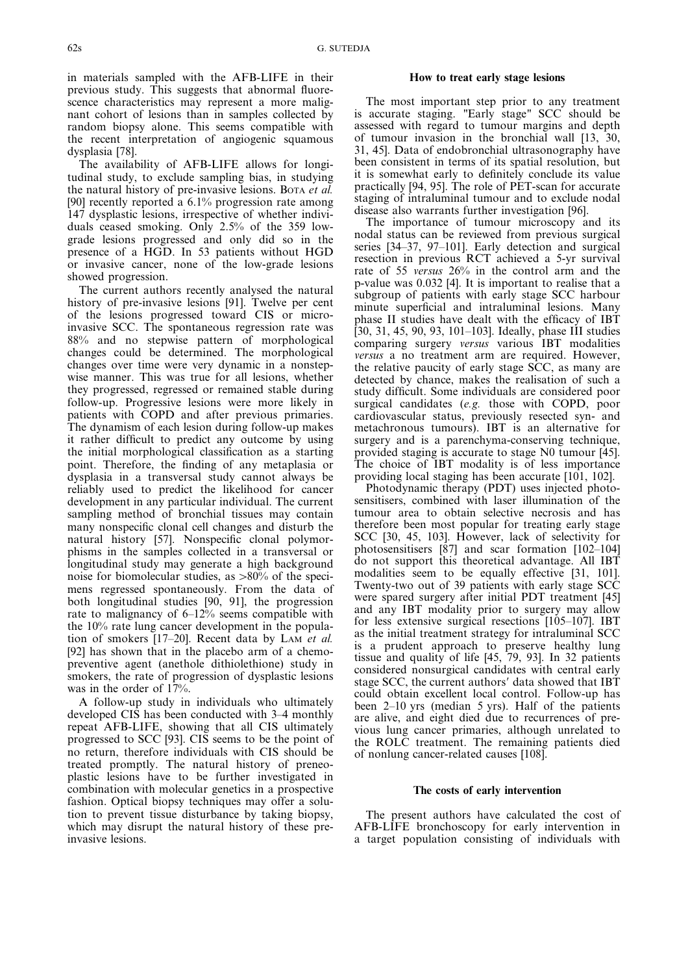in materials sampled with the AFB-LIFE in their previous study. This suggests that abnormal fluorescence characteristics may represent a more malignant cohort of lesions than in samples collected by random biopsy alone. This seems compatible with the recent interpretation of angiogenic squamous dysplasia [78].

The availability of AFB-LIFE allows for longitudinal study, to exclude sampling bias, in studying the natural history of pre-invasive lesions. BOTA et al. [90] recently reported a 6.1% progression rate among 147 dysplastic lesions, irrespective of whether individuals ceased smoking. Only 2.5% of the 359 lowgrade lesions progressed and only did so in the presence of a HGD. In 53 patients without HGD or invasive cancer, none of the low-grade lesions showed progression.

The current authors recently analysed the natural history of pre-invasive lesions [91]. Twelve per cent of the lesions progressed toward CIS or microinvasive SCC. The spontaneous regression rate was 88% and no stepwise pattern of morphological changes could be determined. The morphological changes over time were very dynamic in a nonstepwise manner. This was true for all lesions, whether they progressed, regressed or remained stable during follow-up. Progressive lesions were more likely in patients with COPD and after previous primaries. The dynamism of each lesion during follow-up makes it rather difficult to predict any outcome by using the initial morphological classification as a starting point. Therefore, the finding of any metaplasia or dysplasia in a transversal study cannot always be reliably used to predict the likelihood for cancer development in any particular individual. The current sampling method of bronchial tissues may contain many nonspecific clonal cell changes and disturb the natural history [57]. Nonspecific clonal polymorphisms in the samples collected in a transversal or longitudinal study may generate a high background noise for biomolecular studies, as  $>80\%$  of the specimens regressed spontaneously. From the data of both longitudinal studies [90, 91], the progression rate to malignancy of 6–12% seems compatible with the 10% rate lung cancer development in the population of smokers [17–20]. Recent data by LAM et al. [92] has shown that in the placebo arm of a chemopreventive agent (anethole dithiolethione) study in smokers, the rate of progression of dysplastic lesions was in the order of 17%.

A follow-up study in individuals who ultimately developed CIS has been conducted with 3–4 monthly repeat AFB-LIFE, showing that all CIS ultimately progressed to SCC [93]. CIS seems to be the point of no return, therefore individuals with CIS should be treated promptly. The natural history of preneoplastic lesions have to be further investigated in combination with molecular genetics in a prospective fashion. Optical biopsy techniques may offer a solution to prevent tissue disturbance by taking biopsy, which may disrupt the natural history of these preinvasive lesions.

# How to treat early stage lesions

The most important step prior to any treatment is accurate staging. "Early stage" SCC should be assessed with regard to tumour margins and depth of tumour invasion in the bronchial wall [13, 30, 31, 45]. Data of endobronchial ultrasonography have been consistent in terms of its spatial resolution, but it is somewhat early to definitely conclude its value practically [94, 95]. The role of PET-scan for accurate staging of intraluminal tumour and to exclude nodal disease also warrants further investigation [96].

The importance of tumour microscopy and its nodal status can be reviewed from previous surgical series [34–37, 97–101]. Early detection and surgical resection in previous RCT achieved a 5-yr survival rate of 55 versus 26% in the control arm and the p-value was 0.032 [4]. It is important to realise that a subgroup of patients with early stage SCC harbour minute superficial and intraluminal lesions. Many phase II studies have dealt with the efficacy of IBT [30, 31, 45, 90, 93, 101–103]. Ideally, phase III studies comparing surgery versus various IBT modalities versus a no treatment arm are required. However, the relative paucity of early stage SCC, as many are detected by chance, makes the realisation of such a study difficult. Some individuals are considered poor surgical candidates (e.g. those with COPD, poor cardiovascular status, previously resected syn- and metachronous tumours). IBT is an alternative for surgery and is a parenchyma-conserving technique, provided staging is accurate to stage N0 tumour [45]. The choice of IBT modality is of less importance providing local staging has been accurate [101, 102].

Photodynamic therapy (PDT) uses injected photosensitisers, combined with laser illumination of the tumour area to obtain selective necrosis and has therefore been most popular for treating early stage SCC [30, 45, 103]. However, lack of selectivity for photosensitisers [87] and scar formation [102–104] do not support this theoretical advantage. All IBT modalities seem to be equally effective [31, 101]. Twenty-two out of 39 patients with early stage SCC were spared surgery after initial PDT treatment [45] and any IBT modality prior to surgery may allow for less extensive surgical resections [105–107]. IBT as the initial treatment strategy for intraluminal SCC is a prudent approach to preserve healthy lung tissue and quality of life [45, 79, 93]. In 32 patients considered nonsurgical candidates with central early stage SCC, the current authors' data showed that IBT could obtain excellent local control. Follow-up has been 2–10 yrs (median 5 yrs). Half of the patients are alive, and eight died due to recurrences of previous lung cancer primaries, although unrelated to the ROLC treatment. The remaining patients died of nonlung cancer-related causes [108].

# The costs of early intervention

The present authors have calculated the cost of AFB-LIFE bronchoscopy for early intervention in a target population consisting of individuals with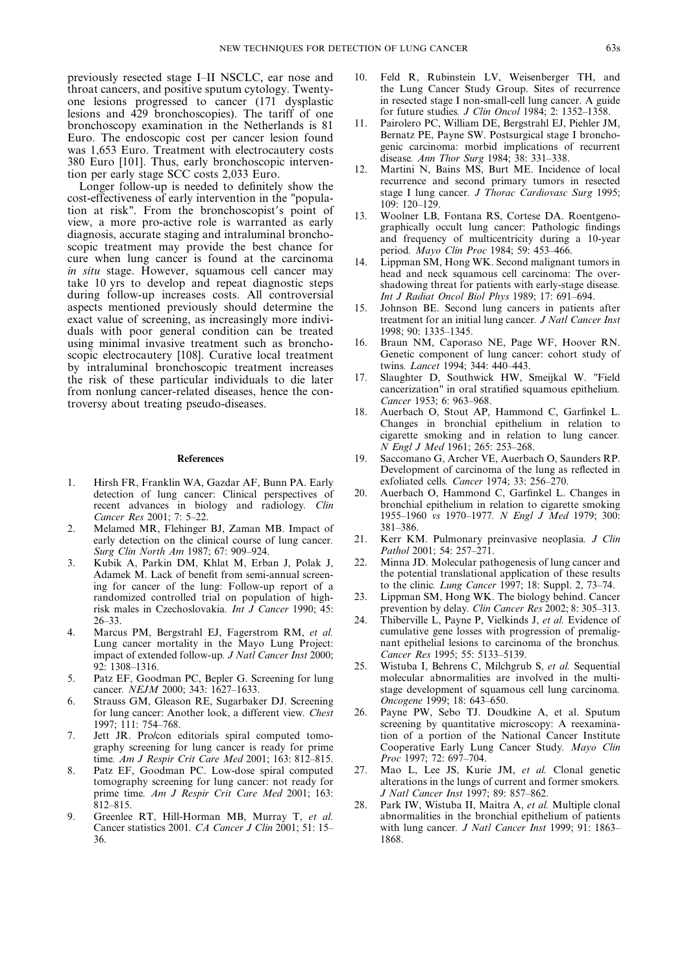previously resected stage I–II NSCLC, ear nose and throat cancers, and positive sputum cytology. Twentyone lesions progressed to cancer (171 dysplastic lesions and 429 bronchoscopies). The tariff of one bronchoscopy examination in the Netherlands is 81 Euro. The endoscopic cost per cancer lesion found was 1,653 Euro. Treatment with electrocautery costs 380 Euro [101]. Thus, early bronchoscopic intervention per early stage SCC costs 2,033 Euro.

Longer follow-up is needed to definitely show the cost-effectiveness of early intervention in the "population at risk". From the bronchoscopist's point of view, a more pro-active role is warranted as early diagnosis, accurate staging and intraluminal bronchoscopic treatment may provide the best chance for cure when lung cancer is found at the carcinoma in situ stage. However, squamous cell cancer may take 10 yrs to develop and repeat diagnostic steps during follow-up increases costs. All controversial aspects mentioned previously should determine the exact value of screening, as increasingly more individuals with poor general condition can be treated using minimal invasive treatment such as bronchoscopic electrocautery [108]. Curative local treatment by intraluminal bronchoscopic treatment increases the risk of these particular individuals to die later from nonlung cancer-related diseases, hence the controversy about treating pseudo-diseases.

#### References

- 1. Hirsh FR, Franklin WA, Gazdar AF, Bunn PA. Early detection of lung cancer: Clinical perspectives of recent advances in biology and radiology. Clin Cancer Res 2001; 7: 5–22.
- 2. Melamed MR, Flehinger BJ, Zaman MB. Impact of early detection on the clinical course of lung cancer. Surg Clin North Am 1987; 67: 909–924.
- 3. Kubik A, Parkin DM, Khlat M, Erban J, Polak J, Adamek M. Lack of benefit from semi-annual screening for cancer of the lung: Follow-up report of a randomized controlled trial on population of highrisk males in Czechoslovakia. Int J Cancer 1990; 45: 26–33.
- 4. Marcus PM, Bergstrahl EJ, Fagerstrom RM, et al. Lung cancer mortality in the Mayo Lung Project: impact of extended follow-up. J Natl Cancer Inst 2000; 92: 1308–1316.
- 5. Patz EF, Goodman PC, Bepler G. Screening for lung cancer. NEJM 2000; 343: 1627–1633.
- 6. Strauss GM, Gleason RE, Sugarbaker DJ. Screening for lung cancer: Another look, a different view. Chest 1997; 111: 754–768.
- 7. Jett JR. Pro/con editorials spiral computed tomography screening for lung cancer is ready for prime time. Am J Respir Crit Care Med 2001; 163: 812–815.
- 8. Patz EF, Goodman PC. Low-dose spiral computed tomography screening for lung cancer: not ready for prime time. Am J Respir Crit Care Med 2001; 163: 812–815.
- 9. Greenlee RT, Hill-Horman MB, Murray T, et al. Cancer statistics 2001. CA Cancer J Clin 2001; 51: 15– 36.
- 10. Feld R, Rubinstein LV, Weisenberger TH, and the Lung Cancer Study Group. Sites of recurrence in resected stage I non-small-cell lung cancer. A guide for future studies. J Clin Oncol 1984; 2: 1352–1358.
- 11. Pairolero PC, William DE, Bergstrahl EJ, Piehler JM, Bernatz PE, Payne SW. Postsurgical stage I bronchogenic carcinoma: morbid implications of recurrent disease. Ann Thor Surg 1984; 38: 331–338.
- 12. Martini N, Bains MS, Burt ME. Incidence of local recurrence and second primary tumors in resected stage I lung cancer. J Thorac Cardiovasc Surg 1995; 109: 120–129.
- 13. Woolner LB, Fontana RS, Cortese DA. Roentgenographically occult lung cancer: Pathologic findings and frequency of multicentricity during a 10-year period. Mayo Clin Proc 1984; 59: 453–466.
- 14. Lippman SM, Hong WK. Second malignant tumors in head and neck squamous cell carcinoma: The overshadowing threat for patients with early-stage disease. Int J Radiat Oncol Biol Phys 1989; 17: 691–694.
- 15. Johnson BE. Second lung cancers in patients after treatment for an initial lung cancer. J Natl Cancer Inst 1998; 90: 1335–1345.
- 16. Braun NM, Caporaso NE, Page WF, Hoover RN. Genetic component of lung cancer: cohort study of twins. Lancet 1994; 344: 440–443.
- 17. Slaughter D, Southwick HW, Smeijkal W. "Field cancerization" in oral stratified squamous epithelium. Cancer 1953; 6: 963–968.
- 18. Auerbach O, Stout AP, Hammond C, Garfinkel L. Changes in bronchial epithelium in relation to cigarette smoking and in relation to lung cancer. N Engl J Med 1961; 265: 253–268.
- 19. Saccomano G, Archer VE, Auerbach O, Saunders RP. Development of carcinoma of the lung as reflected in exfoliated cells. Cancer 1974; 33: 256–270.
- 20. Auerbach O, Hammond C, Garfinkel L. Changes in bronchial epithelium in relation to cigarette smoking 1955–1960 vs 1970–1977. N Engl J Med 1979; 300: 381–386.
- 21. Kerr KM. Pulmonary preinvasive neoplasia. J Clin Pathol 2001; 54: 257-271.
- 22. Minna JD. Molecular pathogenesis of lung cancer and the potential translational application of these results to the clinic. Lung Cancer 1997; 18: Suppl. 2, 73–74.
- 23. Lippman SM, Hong WK. The biology behind. Cancer prevention by delay. Clin Cancer Res 2002; 8: 305–313.
- 24. Thiberville L, Payne P, Vielkinds J, et al. Evidence of cumulative gene losses with progression of premalignant epithelial lesions to carcinoma of the bronchus. Cancer Res 1995; 55: 5133–5139.
- 25. Wistuba I, Behrens C, Milchgrub S, et al. Sequential molecular abnormalities are involved in the multistage development of squamous cell lung carcinoma. Oncogene 1999; 18: 643–650.
- 26. Payne PW, Sebo TJ. Doudkine A, et al. Sputum screening by quantitative microscopy: A reexamination of a portion of the National Cancer Institute Cooperative Early Lung Cancer Study. Mayo Clin Proc 1997; 72: 697–704.
- 27. Mao L, Lee JS, Kurie JM, et al. Clonal genetic alterations in the lungs of current and former smokers. J Natl Cancer Inst 1997; 89: 857–862.
- 28. Park IW, Wistuba II, Maitra A, et al. Multiple clonal abnormalities in the bronchial epithelium of patients with lung cancer. J Natl Cancer Inst 1999; 91: 1863-1868.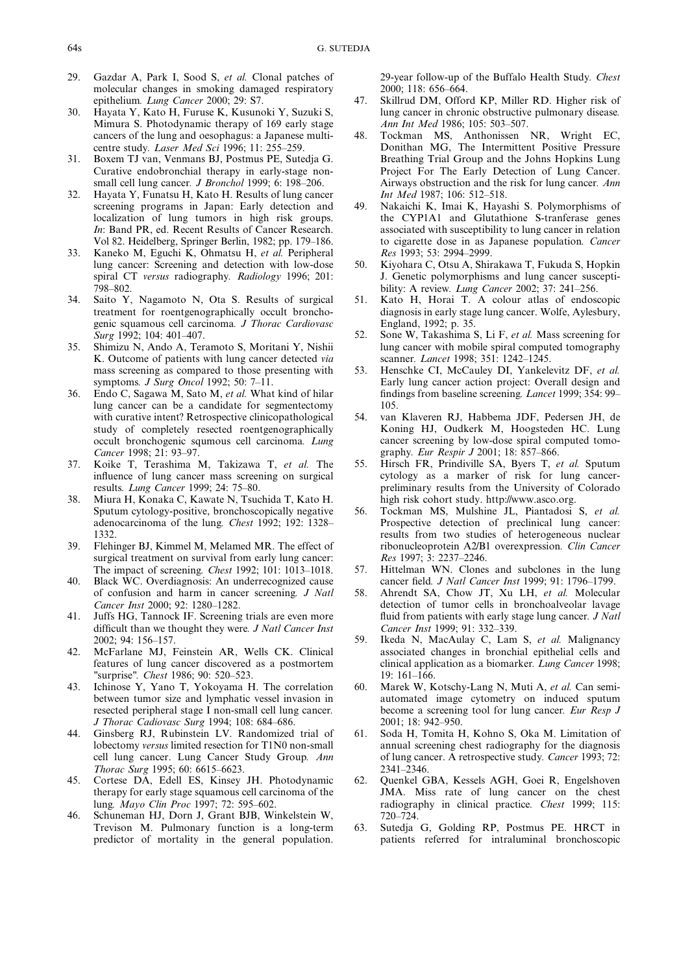- 29. Gazdar A, Park I, Sood S, et al. Clonal patches of molecular changes in smoking damaged respiratory epithelium. Lung Cancer 2000; 29: S7.
- 30. Hayata Y, Kato H, Furuse K, Kusunoki Y, Suzuki S, Mimura S. Photodynamic therapy of 169 early stage cancers of the lung and oesophagus: a Japanese multicentre study. Laser Med Sci 1996; 11: 255–259.
- 31. Boxem TJ van, Venmans BJ, Postmus PE, Sutedja G. Curative endobronchial therapy in early-stage nonsmall cell lung cancer. *J Bronchol* 1999; 6: 198-206.
- 32. Hayata Y, Funatsu H, Kato H. Results of lung cancer screening programs in Japan: Early detection and localization of lung tumors in high risk groups. In: Band PR, ed. Recent Results of Cancer Research. Vol 82. Heidelberg, Springer Berlin, 1982; pp. 179–186.
- 33. Kaneko M, Eguchi K, Ohmatsu H, et al. Peripheral lung cancer: Screening and detection with low-dose spiral CT versus radiography. Radiology 1996; 201: 798–802.
- 34. Saito Y, Nagamoto N, Ota S. Results of surgical treatment for roentgenographically occult bronchogenic squamous cell carcinoma. J Thorac Cardiovasc Surg 1992; 104: 401–407.
- 35. Shimizu N, Ando A, Teramoto S, Moritani Y, Nishii K. Outcome of patients with lung cancer detected via mass screening as compared to those presenting with symptoms. J Surg Oncol 1992; 50: 7–11.
- 36. Endo C, Sagawa M, Sato M, et al. What kind of hilar lung cancer can be a candidate for segmentectomy with curative intent? Retrospective clinicopathological study of completely resected roentgenographically occult bronchogenic squmous cell carcinoma. Lung Cancer 1998; 21: 93–97.
- 37. Koike T, Terashima M, Takizawa T, et al. The influence of lung cancer mass screening on surgical results. Lung Cancer 1999; 24: 75–80.
- 38. Miura H, Konaka C, Kawate N, Tsuchida T, Kato H. Sputum cytology-positive, bronchoscopically negative adenocarcinoma of the lung. Chest 1992; 192: 1328– 1332.
- 39. Flehinger BJ, Kimmel M, Melamed MR. The effect of surgical treatment on survival from early lung cancer: The impact of screening. Chest 1992; 101: 1013–1018.
- 40. Black WC. Overdiagnosis: An underrecognized cause of confusion and harm in cancer screening. J Natl Cancer Inst 2000; 92: 1280–1282.
- 41. Juffs HG, Tannock IF. Screening trials are even more difficult than we thought they were. J Natl Cancer Inst 2002; 94: 156–157.
- 42. McFarlane MJ, Feinstein AR, Wells CK. Clinical features of lung cancer discovered as a postmortem "surprise". Chest 1986; 90: 520–523.
- 43. Ichinose Y, Yano T, Yokoyama H. The correlation between tumor size and lymphatic vessel invasion in resected peripheral stage I non-small cell lung cancer. J Thorac Cadiovasc Surg 1994; 108: 684–686.
- 44. Ginsberg RJ, Rubinstein LV. Randomized trial of lobectomy versus limited resection for T1N0 non-small cell lung cancer. Lung Cancer Study Group. Ann Thorac Surg 1995; 60: 6615–6623.
- 45. Cortese DA, Edell ES, Kinsey JH. Photodynamic therapy for early stage squamous cell carcinoma of the lung. Mayo Clin Proc 1997; 72: 595–602.
- 46. Schuneman HJ, Dorn J, Grant BJB, Winkelstein W, Trevison M. Pulmonary function is a long-term predictor of mortality in the general population.

29-year follow-up of the Buffalo Health Study. Chest 2000; 118: 656–664.

- 47. Skillrud DM, Offord KP, Miller RD. Higher risk of lung cancer in chronic obstructive pulmonary disease. Ann Int Med 1986; 105: 503–507.
- 48. Tockman MS, Anthonissen NR, Wright EC, Donithan MG, The Intermittent Positive Pressure Breathing Trial Group and the Johns Hopkins Lung Project For The Early Detection of Lung Cancer. Airways obstruction and the risk for lung cancer. Ann Int Med 1987; 106: 512–518.
- 49. Nakaichi K, Imai K, Hayashi S. Polymorphisms of the CYP1A1 and Glutathione S-tranferase genes associated with susceptibility to lung cancer in relation to cigarette dose in as Japanese population. Cancer Res 1993; 53: 2994–2999.
- 50. Kiyohara C, Otsu A, Shirakawa T, Fukuda S, Hopkin J. Genetic polymorphisms and lung cancer susceptibility: A review. *Lung Cancer* 2002; 37: 241-256.
- 51. Kato H, Horai T. A colour atlas of endoscopic diagnosis in early stage lung cancer. Wolfe, Aylesbury, England, 1992; p. 35.
- 52. Sone W, Takashima S, Li F, et al. Mass screening for lung cancer with mobile spiral computed tomography scanner. Lancet 1998; 351: 1242–1245.
- 53. Henschke CI, McCauley DI, Yankelevitz DF, et al. Early lung cancer action project: Overall design and findings from baseline screening. Lancet 1999; 354: 99– 105.
- 54. van Klaveren RJ, Habbema JDF, Pedersen JH, de Koning HJ, Oudkerk M, Hoogsteden HC. Lung cancer screening by low-dose spiral computed tomography. Eur Respir J 2001; 18: 857–866.
- 55. Hirsch FR, Prindiville SA, Byers T, et al. Sputum cytology as a marker of risk for lung cancerpreliminary results from the University of Colorado high risk cohort study. http://www.asco.org.
- 56. Tockman MS, Mulshine JL, Piantadosi S, et al. Prospective detection of preclinical lung cancer: results from two studies of heterogeneous nuclear ribonucleoprotein A2/B1 overexpression. Clin Cancer Res 1997; 3: 2237–2246.
- 57. Hittelman WN. Clones and subclones in the lung cancer field. J Natl Cancer Inst 1999; 91: 1796–1799.
- 58. Ahrendt SA, Chow JT, Xu LH, et al. Molecular detection of tumor cells in bronchoalveolar lavage fluid from patients with early stage lung cancer. *J Natl* Cancer Inst 1999; 91: 332–339.
- 59. Ikeda N, MacAulay C, Lam S, et al. Malignancy associated changes in bronchial epithelial cells and clinical application as a biomarker. Lung Cancer 1998; 19: 161–166.
- 60. Marek W, Kotschy-Lang N, Muti A, et al. Can semiautomated image cytometry on induced sputum become a screening tool for lung cancer. Eur Resp J 2001; 18: 942–950.
- 61. Soda H, Tomita H, Kohno S, Oka M. Limitation of annual screening chest radiography for the diagnosis of lung cancer. A retrospective study. Cancer 1993; 72: 2341–2346.
- 62. Quenkel GBA, Kessels AGH, Goei R, Engelshoven JMA. Miss rate of lung cancer on the chest radiography in clinical practice. Chest 1999; 115: 720–724.
- 63. Sutedja G, Golding RP, Postmus PE. HRCT in patients referred for intraluminal bronchoscopic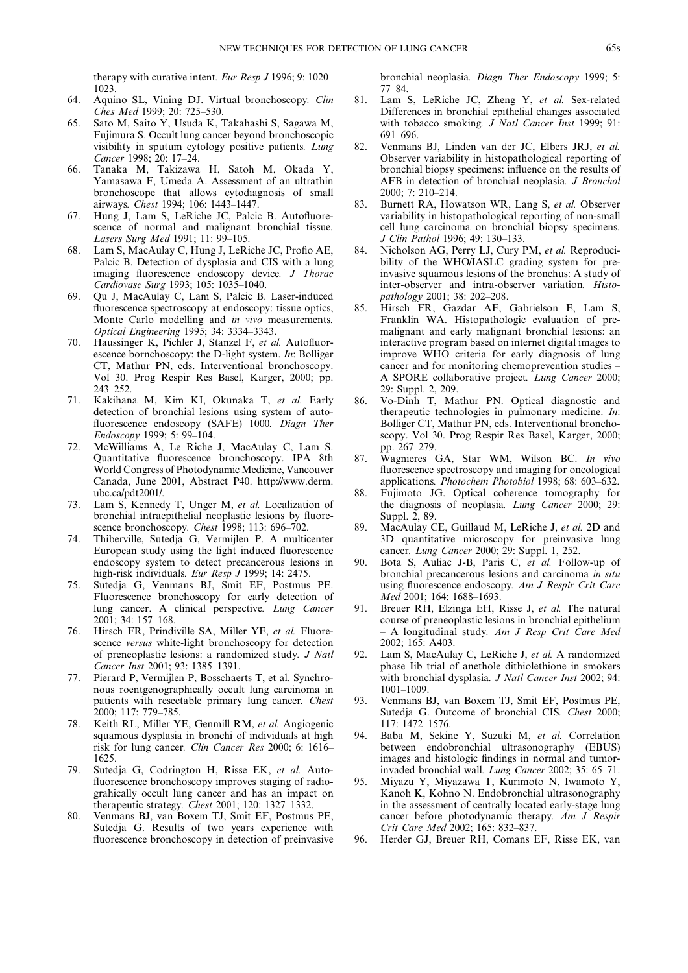therapy with curative intent. Eur Resp J 1996; 9: 1020– 1023.

- 64. Aquino SL, Vining DJ. Virtual bronchoscopy. Clin Ches Med 1999; 20: 725–530.
- 65. Sato M, Saito Y, Usuda K, Takahashi S, Sagawa M, Fujimura S. Occult lung cancer beyond bronchoscopic visibility in sputum cytology positive patients. Lung Cancer 1998; 20: 17–24.
- 66. Tanaka M, Takizawa H, Satoh M, Okada Y, Yamasawa F, Umeda A. Assessment of an ultrathin bronchoscope that allows cytodiagnosis of small airways. Chest 1994; 106: 1443–1447.
- 67. Hung J, Lam S, LeRiche JC, Palcic B. Autofluorescence of normal and malignant bronchial tissue. Lasers Surg Med 1991; 11: 99–105.
- 68. Lam S, MacAulay C, Hung J, LeRiche JC, Profio AE, Palcic B. Detection of dysplasia and CIS with a lung imaging fluorescence endoscopy device. J Thorac Cardiovasc Surg 1993; 105: 1035–1040.
- 69. Qu J, MacAulay C, Lam S, Palcic B. Laser-induced fluorescence spectroscopy at endoscopy: tissue optics, Monte Carlo modelling and in vivo measurements. Optical Engineering 1995; 34: 3334–3343.
- 70. Haussinger K, Pichler J, Stanzel F, et al. Autofluorescence bornchoscopy: the D-light system. In: Bolliger CT, Mathur PN, eds. Interventional bronchoscopy. Vol 30. Prog Respir Res Basel, Karger, 2000; pp. 243–252.
- 71. Kakihana M, Kim KI, Okunaka T, et al. Early detection of bronchial lesions using system of autofluorescence endoscopy (SAFE) 1000. Diagn Ther Endoscopy 1999; 5: 99–104.
- 72. McWilliams A, Le Riche J, MacAulay C, Lam S. Quantitative fluorescence bronchoscopy. IPA 8th World Congress of Photodynamic Medicine, Vancouver Canada, June 2001, Abstract P40. http://www.derm. ubc.ca/pdt2001/.
- 73. Lam S, Kennedy T, Unger M, et al. Localization of bronchial intraepithelial neoplastic lesions by fluorescence bronchoscopy. Chest 1998; 113: 696-702.
- 74. Thiberville, Sutedja G, Vermijlen P. A multicenter European study using the light induced fluorescence endoscopy system to detect precancerous lesions in high-risk individuals. Eur Resp J 1999; 14: 2475.
- 75. Sutedja G, Venmans BJ, Smit EF, Postmus PE. Fluorescence bronchoscopy for early detection of lung cancer. A clinical perspective. Lung Cancer 2001; 34: 157–168.
- 76. Hirsch FR, Prindiville SA, Miller YE, et al. Fluorescence versus white-light bronchoscopy for detection of preneoplastic lesions: a randomized study. J Natl Cancer Inst 2001; 93: 1385–1391.
- Pierard P, Vermijlen P, Bosschaerts T, et al. Synchronous roentgenographically occult lung carcinoma in patients with resectable primary lung cancer. Chest 2000; 117: 779–785.
- 78. Keith RL, Miller YE, Genmill RM, et al. Angiogenic squamous dysplasia in bronchi of individuals at high risk for lung cancer. Clin Cancer Res 2000; 6: 1616– 1625.
- 79. Sutedja G, Codrington H, Risse EK, et al. Autofluorescence bronchoscopy improves staging of radiograhically occult lung cancer and has an impact on therapeutic strategy. Chest 2001; 120: 1327–1332.
- 80. Venmans BJ, van Boxem TJ, Smit EF, Postmus PE, Sutedja G. Results of two years experience with fluorescence bronchoscopy in detection of preinvasive

bronchial neoplasia. Diagn Ther Endoscopy 1999; 5: 77–84.

- 81. Lam S, LeRiche JC, Zheng Y, et al. Sex-related Differences in bronchial epithelial changes associated with tobacco smoking.  $J$  Natl Cancer Inst 1999; 91: 691–696.
- 82. Venmans BJ, Linden van der JC, Elbers JRJ, et al. Observer variability in histopathological reporting of bronchial biopsy specimens: influence on the results of AFB in detection of bronchial neoplasia. J Bronchol 2000; 7: 210–214.
- 83. Burnett RA, Howatson WR, Lang S, et al. Observer variability in histopathological reporting of non-small cell lung carcinoma on bronchial biopsy specimens. J Clin Pathol 1996; 49: 130–133.
- 84. Nicholson AG, Perry LJ, Cury PM, et al. Reproducibility of the WHO/IASLC grading system for preinvasive squamous lesions of the bronchus: A study of inter-observer and intra-observer variation. Histopathology 2001; 38: 202–208.
- 85. Hirsch FR, Gazdar AF, Gabrielson E, Lam S, Franklin WA. Histopathologic evaluation of premalignant and early malignant bronchial lesions: an interactive program based on internet digital images to improve WHO criteria for early diagnosis of lung cancer and for monitoring chemoprevention studies – A SPORE collaborative project. Lung Cancer 2000; 29: Suppl. 2, 209.
- 86. Vo-Dinh T, Mathur PN. Optical diagnostic and therapeutic technologies in pulmonary medicine. In: Bolliger CT, Mathur PN, eds. Interventional bronchoscopy. Vol 30. Prog Respir Res Basel, Karger, 2000; pp. 267–279.
- 87. Wagnieres GA, Star WM, Wilson BC. In vivo fluorescence spectroscopy and imaging for oncological applications. Photochem Photobiol 1998; 68: 603–632.
- 88. Fujimoto JG. Optical coherence tomography for the diagnosis of neoplasia. Lung Cancer 2000; 29: Suppl. 2, 89.
- 89. MacAulay CE, Guillaud M, LeRiche J, et al. 2D and 3D quantitative microscopy for preinvasive lung cancer. Lung Cancer 2000; 29: Suppl. 1, 252.
- 90. Bota S, Auliac J-B, Paris C, et al. Follow-up of bronchial precancerous lesions and carcinoma in situ using fluorescence endoscopy. Am J Respir Crit Care Med 2001; 164: 1688–1693.
- 91. Breuer RH, Elzinga EH, Risse J, et al. The natural course of preneoplastic lesions in bronchial epithelium – A longitudinal study. Am J Resp Crit Care Med 2002; 165: A403.
- 92. Lam S, MacAulay C, LeRiche J, et al. A randomized phase Iib trial of anethole dithiolethione in smokers with bronchial dysplasia. J Natl Cancer Inst 2002: 94: 1001–1009.
- 93. Venmans BJ, van Boxem TJ, Smit EF, Postmus PE, Sutedja G. Outcome of bronchial CIS. Chest 2000; 117: 1472–1576.
- 94. Baba M, Sekine Y, Suzuki M, et al. Correlation between endobronchial ultrasonography (EBUS) images and histologic findings in normal and tumorinvaded bronchial wall. Lung Cancer 2002; 35: 65–71.
- 95. Miyazu Y, Miyazawa T, Kurimoto N, Iwamoto Y, Kanoh K, Kohno N. Endobronchial ultrasonography in the assessment of centrally located early-stage lung cancer before photodynamic therapy. Am J Respir Crit Care Med 2002; 165: 832–837.
- 96. Herder GJ, Breuer RH, Comans EF, Risse EK, van